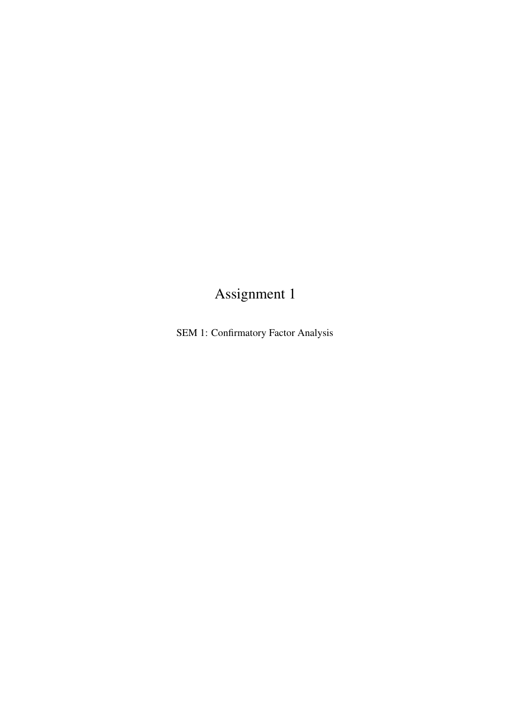## Assignment 1

SEM 1: Confirmatory Factor Analysis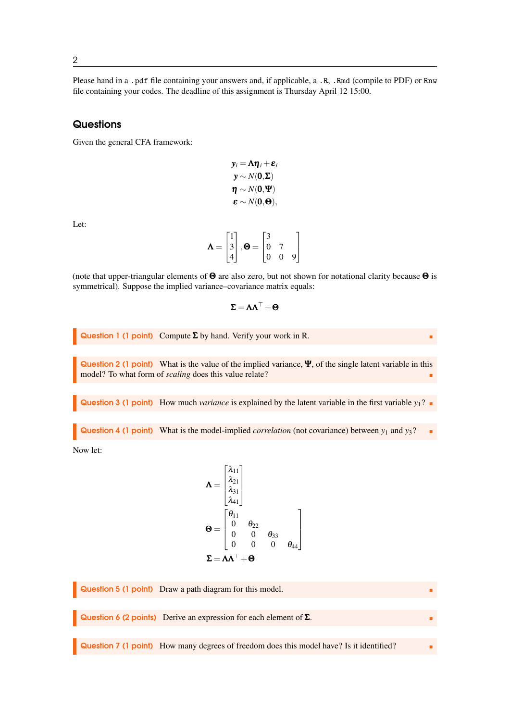Please hand in a .pdf file containing your answers and, if applicable, a .R, .Rmd (compile to PDF) or Rnw file containing your codes. The deadline of this assignment is Thursday April 12 15:00.

## **Questions**

Given the general CFA framework:

$$
y_i = \Lambda \eta_i + \varepsilon_i
$$
  
\n
$$
y \sim N(\mathbf{0}, \Sigma)
$$
  
\n
$$
\eta \sim N(\mathbf{0}, \Psi)
$$
  
\n
$$
\varepsilon \sim N(\mathbf{0}, \Theta),
$$

Let:

$$
\mathbf{\Lambda} = \begin{bmatrix} 1 \\ 3 \\ 4 \end{bmatrix}, \mathbf{\Theta} = \begin{bmatrix} 3 & 0 \\ 0 & 7 \\ 0 & 0 & 9 \end{bmatrix}
$$

(note that upper-triangular elements of  $\Theta$  are also zero, but not shown for notational clarity because  $\Theta$  is symmetrical). Suppose the implied variance–covariance matrix equals:

$$
\pmb{\Sigma} = \pmb{\Lambda}\pmb{\Lambda}^\top + \pmb{\Theta}
$$

**Question 1 (1 point)** Compute 
$$
\Sigma
$$
 by hand. Verify your work in R.

Question 2 (1 point) What is the value of the implied variance, Ψ, of the single latent variable in this model? To what form of *scaling* does this value relate?

**Question 3 (1 point)** How much *variance* is explained by the latent variable in the first variable  $y_1$ ?

**Question 4 (1 point)** What is the model-implied *correlation* (not covariance) between  $y_1$  and  $y_3$ ?

Now let:

$$
\mathbf{\Lambda} = \begin{bmatrix} \lambda_{11} \\ \lambda_{21} \\ \lambda_{31} \\ \lambda_{41} \end{bmatrix}
$$

$$
\mathbf{\Theta} = \begin{bmatrix} \theta_{11} \\ 0 & \theta_{22} \\ 0 & 0 & \theta_{33} \\ 0 & 0 & 0 & \theta_{44} \end{bmatrix}
$$

$$
\Sigma = \mathbf{\Lambda} \Lambda^{\top} + \mathbf{\Theta}
$$

Question 5 (1 point) Draw a path diagram for this model. Question 6 (2 points) Derive an expression for each element of  $Σ$ . Question 7 (1 point) How many degrees of freedom does this model have? Is it identified?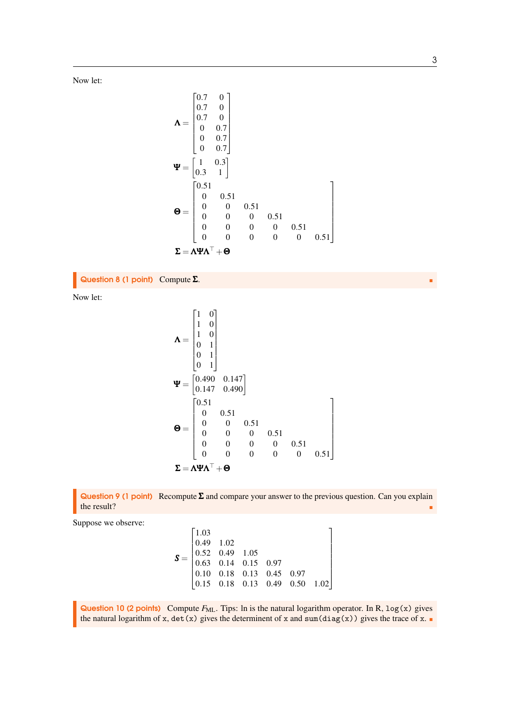Now let:

$$
\mathbf{\Lambda} = \begin{bmatrix} 0.7 & 0 \\ 0.7 & 0 \\ 0.7 & 0 \\ 0 & 0.7 \\ 0 & 0.7 \\ 0 & 0.7 \end{bmatrix}
$$
  

$$
\mathbf{\Psi} = \begin{bmatrix} 1 & 0.3 \\ 1 & 0.3 \\ 0.3 & 1 \end{bmatrix}
$$
  

$$
\mathbf{\Theta} = \begin{bmatrix} 0.51 \\ 0 & 0.51 \\ 0 & 0 & 0.51 \\ 0 & 0 & 0 & 0.51 \\ 0 & 0 & 0 & 0 & 0.51 \\ 0 & 0 & 0 & 0 & 0 & 0.51 \\ 0 & 0 & 0 & 0 & 0 & 0.51 \end{bmatrix}
$$
  

$$
\mathbf{\Sigma} = \mathbf{\Lambda} \mathbf{\Psi} \mathbf{\Lambda}^{\top} + \mathbf{\Theta}
$$

Question 8 (1 point) Compute Σ.

Now let:

$$
\mathbf{\Lambda} = \begin{bmatrix} 1 & 0 \\ 1 & 0 \\ 1 & 0 \\ 0 & 1 \\ 0 & 1 \\ 0 & 1 \end{bmatrix}
$$
  
\n
$$
\mathbf{\Psi} = \begin{bmatrix} 0.490 & 0.147 \\ 0.147 & 0.490 \end{bmatrix}
$$
  
\n
$$
\mathbf{\Theta} = \begin{bmatrix} 0.51 \\ 0 & 0.51 \\ 0 & 0 & 0.51 \\ 0 & 0 & 0 & 0.51 \\ 0 & 0 & 0 & 0 & 0.51 \\ 0 & 0 & 0 & 0 & 0.51 \\ 0 & 0 & 0 & 0 & 0.51 \end{bmatrix}
$$
  
\n
$$
\Sigma = \Lambda \mathbf{\Psi} \Lambda^{\top} + \mathbf{\Theta}
$$



Suppose we observe:

*S* = 1.03 0.49 1.02 0.52 0.49 1.05 0.63 0.14 0.15 0.97 0.10 0.18 0.13 0.45 0.97 0.15 0.18 0.13 0.49 0.50 1.02 

Question 10 (2 points) Compute  $F_{ML}$ . Tips: ln is the natural logarithm operator. In R,  $log(x)$  gives the natural logarithm of x,  $det(x)$  gives the determinent of x and sum( $diag(x)$ ) gives the trace of x.

3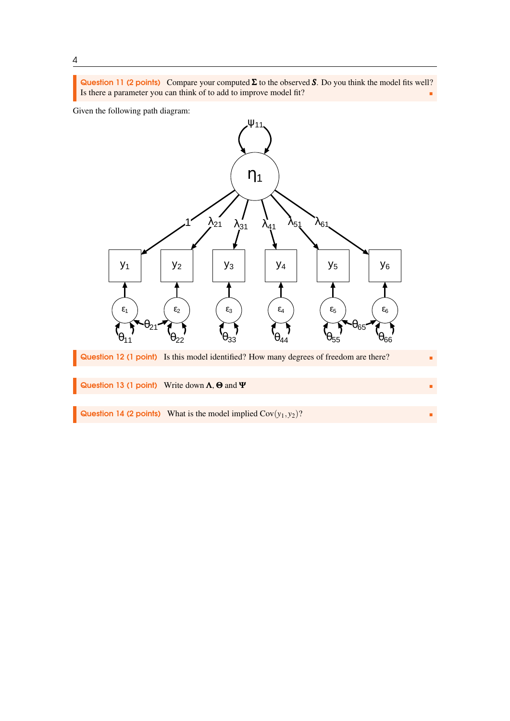Question 11 (2 points) Compare your computed Σ to the observed *S*. Do you think the model fits well? Is there a parameter you can think of to add to improve model fit?

Given the following path diagram: